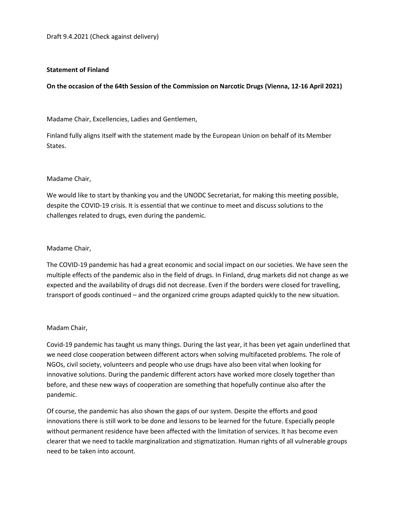## **Statement of Finland**

**On the occasion of the 64th Session of the Commission on Narcotic Drugs (Vienna, 12-16 April 2021)**

Madame Chair, Excellencies, Ladies and Gentlemen,

Finland fully aligns itself with the statement made by the European Union on behalf of its Member States.

## Madame Chair,

We would like to start by thanking you and the UNODC Secretariat, for making this meeting possible, despite the COVID-19 crisis. It is essential that we continue to meet and discuss solutions to the challenges related to drugs, even during the pandemic.

## Madame Chair,

The COVID-19 pandemic has had a great economic and social impact on our societies. We have seen the multiple effects of the pandemic also in the field of drugs. In Finland, drug markets did not change as we expected and the availability of drugs did not decrease. Even if the borders were closed for travelling, transport of goods continued – and the organized crime groups adapted quickly to the new situation.

#### Madam Chair,

Covid-19 pandemic has taught us many things. During the last year, it has been yet again underlined that we need close cooperation between different actors when solving multifaceted problems. The role of NGOs, civil society, volunteers and people who use drugs have also been vital when looking for innovative solutions. During the pandemic different actors have worked more closely together than before, and these new ways of cooperation are something that hopefully continue also after the pandemic.

Of course, the pandemic has also shown the gaps of our system. Despite the efforts and good innovations there is still work to be done and lessons to be learned for the future. Especially people without permanent residence have been affected with the limitation of services. It has become even clearer that we need to tackle marginalization and stigmatization. Human rights of all vulnerable groups need to be taken into account.